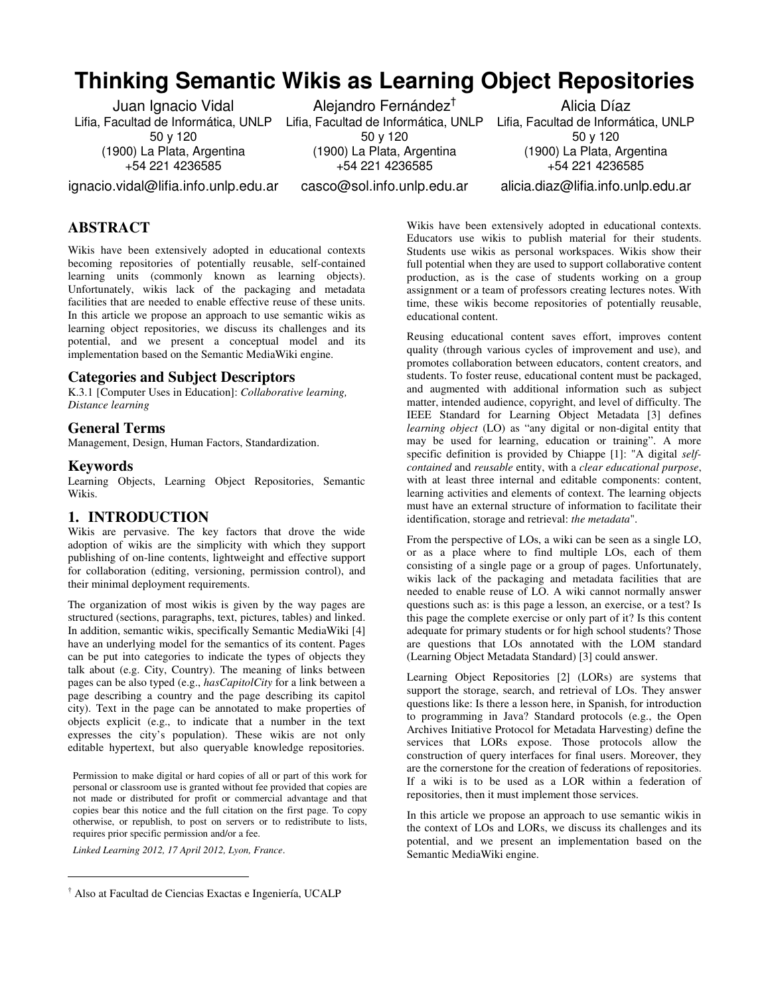# **Thinking Semantic Wikis as Learning Object Repositories**

Juan Ignacio Vidal Lifia, Facultad de Informática, UNLP 50 y 120 (1900) La Plata, Argentina +54 221 4236585

ignacio.vidal@lifia.info.unlp.edu.ar

Alejandro Fernández† Lifia, Facultad de Informática, UNLP 50 y 120 (1900) La Plata, Argentina +54 221 4236585

Alicia Díaz Lifia, Facultad de Informática, UNLP 50 y 120 (1900) La Plata, Argentina +54 221 4236585

casco@sol.info.unlp.edu.ar

alicia.diaz@lifia.info.unlp.edu.ar

# **ABSTRACT**

Wikis have been extensively adopted in educational contexts becoming repositories of potentially reusable, self-contained learning units (commonly known as learning objects). Unfortunately, wikis lack of the packaging and metadata facilities that are needed to enable effective reuse of these units. In this article we propose an approach to use semantic wikis as learning object repositories, we discuss its challenges and its potential, and we present a conceptual model and its implementation based on the Semantic MediaWiki engine.

#### **Categories and Subject Descriptors**

K.3.1 [Computer Uses in Education]: *Collaborative learning, Distance learning*

#### **General Terms**

Management, Design, Human Factors, Standardization.

#### **Keywords**

1

Learning Objects, Learning Object Repositories, Semantic Wikis.

## **1. INTRODUCTION**

Wikis are pervasive. The key factors that drove the wide adoption of wikis are the simplicity with which they support publishing of on-line contents, lightweight and effective support for collaboration (editing, versioning, permission control), and their minimal deployment requirements.

The organization of most wikis is given by the way pages are structured (sections, paragraphs, text, pictures, tables) and linked. In addition, semantic wikis, specifically Semantic MediaWiki [4] have an underlying model for the semantics of its content. Pages can be put into categories to indicate the types of objects they talk about (e.g. City, Country). The meaning of links between pages can be also typed (e.g., *hasCapitolCity* for a link between a page describing a country and the page describing its capitol city). Text in the page can be annotated to make properties of objects explicit (e.g., to indicate that a number in the text expresses the city's population). These wikis are not only editable hypertext, but also queryable knowledge repositories.†

Permission to make digital or hard copies of all or part of this work for personal or classroom use is granted without fee provided that copies are not made or distributed for profit or commercial advantage and that copies bear this notice and the full citation on the first page. To copy otherwise, or republish, to post on servers or to redistribute to lists, requires prior specific permission and/or a fee.

*Linked Learning 2012, 17 April 2012, Lyon, France*.

Wikis have been extensively adopted in educational contexts. Educators use wikis to publish material for their students. Students use wikis as personal workspaces. Wikis show their full potential when they are used to support collaborative content production, as is the case of students working on a group assignment or a team of professors creating lectures notes. With time, these wikis become repositories of potentially reusable, educational content.

Reusing educational content saves effort, improves content quality (through various cycles of improvement and use), and promotes collaboration between educators, content creators, and students. To foster reuse, educational content must be packaged, and augmented with additional information such as subject matter, intended audience, copyright, and level of difficulty. The IEEE Standard for Learning Object Metadata [3] defines *learning object* (LO) as "any digital or non-digital entity that may be used for learning, education or training". A more specific definition is provided by Chiappe [1]: "A digital *selfcontained* and *reusable* entity, with a *clear educational purpose*, with at least three internal and editable components: content, learning activities and elements of context. The learning objects must have an external structure of information to facilitate their identification, storage and retrieval: *the metadata*".

From the perspective of LOs, a wiki can be seen as a single LO, or as a place where to find multiple LOs, each of them consisting of a single page or a group of pages. Unfortunately, wikis lack of the packaging and metadata facilities that are needed to enable reuse of LO. A wiki cannot normally answer questions such as: is this page a lesson, an exercise, or a test? Is this page the complete exercise or only part of it? Is this content adequate for primary students or for high school students? Those are questions that LOs annotated with the LOM standard (Learning Object Metadata Standard) [3] could answer.

Learning Object Repositories [2] (LORs) are systems that support the storage, search, and retrieval of LOs. They answer questions like: Is there a lesson here, in Spanish, for introduction to programming in Java? Standard protocols (e.g., the Open Archives Initiative Protocol for Metadata Harvesting) define the services that LORs expose. Those protocols allow the construction of query interfaces for final users. Moreover, they are the cornerstone for the creation of federations of repositories. If a wiki is to be used as a LOR within a federation of repositories, then it must implement those services.

In this article we propose an approach to use semantic wikis in the context of LOs and LORs, we discuss its challenges and its potential, and we present an implementation based on the Semantic MediaWiki engine.

<sup>†</sup> Also at Facultad de Ciencias Exactas e Ingeniería, UCALP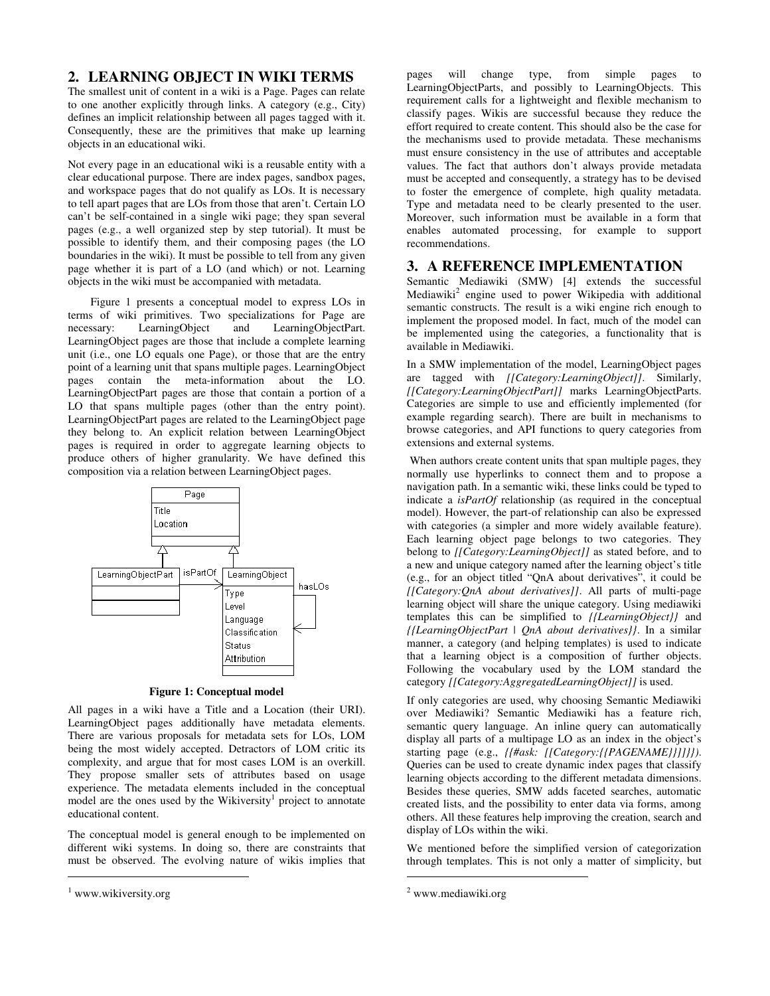# **2. LEARNING OBJECT IN WIKI TERMS**

The smallest unit of content in a wiki is a Page. Pages can relate to one another explicitly through links. A category (e.g., City) defines an implicit relationship between all pages tagged with it. Consequently, these are the primitives that make up learning objects in an educational wiki.

Not every page in an educational wiki is a reusable entity with a clear educational purpose. There are index pages, sandbox pages, and workspace pages that do not qualify as LOs. It is necessary to tell apart pages that are LOs from those that aren't. Certain LO can't be self-contained in a single wiki page; they span several pages (e.g., a well organized step by step tutorial). It must be possible to identify them, and their composing pages (the LO boundaries in the wiki). It must be possible to tell from any given page whether it is part of a LO (and which) or not. Learning objects in the wiki must be accompanied with metadata.

Figure 1 presents a conceptual model to express LOs in terms of wiki primitives. Two specializations for Page are necessary: LearningObject and LearningObjectPart. LearningObject pages are those that include a complete learning unit (i.e., one LO equals one Page), or those that are the entry point of a learning unit that spans multiple pages. LearningObject pages contain the meta-information about the LO. LearningObjectPart pages are those that contain a portion of a LO that spans multiple pages (other than the entry point). LearningObjectPart pages are related to the LearningObject page they belong to. An explicit relation between LearningObject pages is required in order to aggregate learning objects to produce others of higher granularity. We have defined this composition via a relation between LearningObject pages.



**Figure 1: Conceptual model** 

All pages in a wiki have a Title and a Location (their URI). LearningObject pages additionally have metadata elements. There are various proposals for metadata sets for LOs, LOM being the most widely accepted. Detractors of LOM critic its complexity, and argue that for most cases LOM is an overkill. They propose smaller sets of attributes based on usage experience. The metadata elements included in the conceptual model are the ones used by the Wikiversity<sup>1</sup> project to annotate educational content.

The conceptual model is general enough to be implemented on different wiki systems. In doing so, there are constraints that must be observed. The evolving nature of wikis implies that

j

pages will change type, from simple pages to LearningObjectParts, and possibly to LearningObjects. This requirement calls for a lightweight and flexible mechanism to classify pages. Wikis are successful because they reduce the effort required to create content. This should also be the case for the mechanisms used to provide metadata. These mechanisms must ensure consistency in the use of attributes and acceptable values. The fact that authors don't always provide metadata must be accepted and consequently, a strategy has to be devised to foster the emergence of complete, high quality metadata. Type and metadata need to be clearly presented to the user. Moreover, such information must be available in a form that enables automated processing, for example to support recommendations.

# **3. A REFERENCE IMPLEMENTATION**

Semantic Mediawiki (SMW) [4] extends the successful Mediawiki<sup>2</sup> engine used to power Wikipedia with additional semantic constructs. The result is a wiki engine rich enough to implement the proposed model. In fact, much of the model can be implemented using the categories, a functionality that is available in Mediawiki.

In a SMW implementation of the model, LearningObject pages are tagged with *[[Category:LearningObject]]*. Similarly, *[[Category:LearningObjectPart]]* marks LearningObjectParts. Categories are simple to use and efficiently implemented (for example regarding search). There are built in mechanisms to browse categories, and API functions to query categories from extensions and external systems.

When authors create content units that span multiple pages, they normally use hyperlinks to connect them and to propose a navigation path. In a semantic wiki, these links could be typed to indicate a *isPartOf* relationship (as required in the conceptual model). However, the part-of relationship can also be expressed with categories (a simpler and more widely available feature). Each learning object page belongs to two categories. They belong to *[[Category:LearningObject]]* as stated before, and to a new and unique category named after the learning object's title (e.g., for an object titled "QnA about derivatives", it could be *[[Category:QnA about derivatives]]*. All parts of multi-page learning object will share the unique category. Using mediawiki templates this can be simplified to *{{LearningObject}}* and *{{LearningObjectPart | QnA about derivatives}}*. In a similar manner, a category (and helping templates) is used to indicate that a learning object is a composition of further objects. Following the vocabulary used by the LOM standard the category *[[Category:AggregatedLearningObject]]* is used.

If only categories are used, why choosing Semantic Mediawiki over Mediawiki? Semantic Mediawiki has a feature rich, semantic query language. An inline query can automatically display all parts of a multipage LO as an index in the object's starting page (e.g., *{{#ask: [[Category:{{PAGENAME}}]]}})*. Queries can be used to create dynamic index pages that classify learning objects according to the different metadata dimensions. Besides these queries, SMW adds faceted searches, automatic created lists, and the possibility to enter data via forms, among others. All these features help improving the creation, search and display of LOs within the wiki.

We mentioned before the simplified version of categorization through templates. This is not only a matter of simplicity, but

j

<sup>1</sup> www.wikiversity.org

<sup>2</sup> www.mediawiki.org